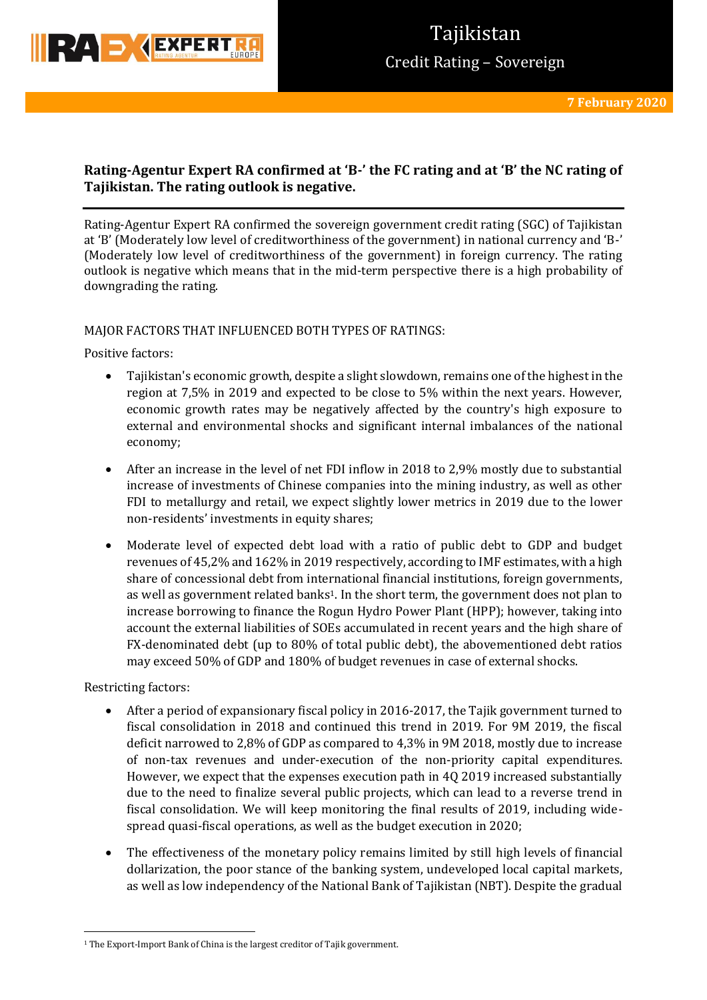

# **Rating-Agentur Expert RA confirmed at 'B-' the FC rating and at 'B' the NC rating of Tajikistan. The rating outlook is negative.**

Rating-Agentur Expert RA confirmed the sovereign government credit rating (SGC) of Tajikistan at 'B' (Moderately low level of creditworthiness of the government) in national currency and 'B-' (Moderately low level of creditworthiness of the government) in foreign currency. The rating outlook is negative which means that in the mid-term perspective there is a high probability of downgrading the rating.

### MAJOR FACTORS THAT INFLUENCED BOTH TYPES OF RATINGS:

Positive factors:

- Tajikistan's economic growth, despite a slight slowdown, remains one of the highest in the region at 7,5% in 2019 and expected to be close to 5% within the next years. However, economic growth rates may be negatively affected by the country's high exposure to external and environmental shocks and significant internal imbalances of the national economy;
- After an increase in the level of net FDI inflow in 2018 to 2,9% mostly due to substantial increase of investments of Chinese companies into the mining industry, as well as other FDI to metallurgy and retail, we expect slightly lower metrics in 2019 due to the lower non-residents' investments in equity shares;
- Moderate level of expected debt load with a ratio of public debt to GDP and budget revenues of 45,2% and 162% in 2019 respectively, according to IMF estimates, with a high share of concessional debt from international financial institutions, foreign governments, as well as government related banks1. In the short term, the government does not plan to increase borrowing to finance the Rogun Hydro Power Plant (HPP); however, taking into account the external liabilities of SOEs accumulated in recent years and the high share of FX-denominated debt (up to 80% of total public debt), the abovementioned debt ratios may exceed 50% of GDP and 180% of budget revenues in case of external shocks.

Restricting factors:

**.** 

- After a period of expansionary fiscal policy in 2016-2017, the Tajik government turned to fiscal consolidation in 2018 and continued this trend in 2019. For 9M 2019, the fiscal deficit narrowed to 2,8% of GDP as compared to 4,3% in 9M 2018, mostly due to increase of non-tax revenues and under-execution of the non-priority capital expenditures. However, we expect that the expenses execution path in 4Q 2019 increased substantially due to the need to finalize several public projects, which can lead to a reverse trend in fiscal consolidation. We will keep monitoring the final results of 2019, including widespread quasi-fiscal operations, as well as the budget execution in 2020;
- The effectiveness of the monetary policy remains limited by still high levels of financial dollarization, the poor stance of the banking system, undeveloped local capital markets, as well as low independency of the National Bank of Tajikistan (NBT). Despite the gradual

<sup>&</sup>lt;sup>1</sup> The Export-Import Bank of China is the largest creditor of Tajik government.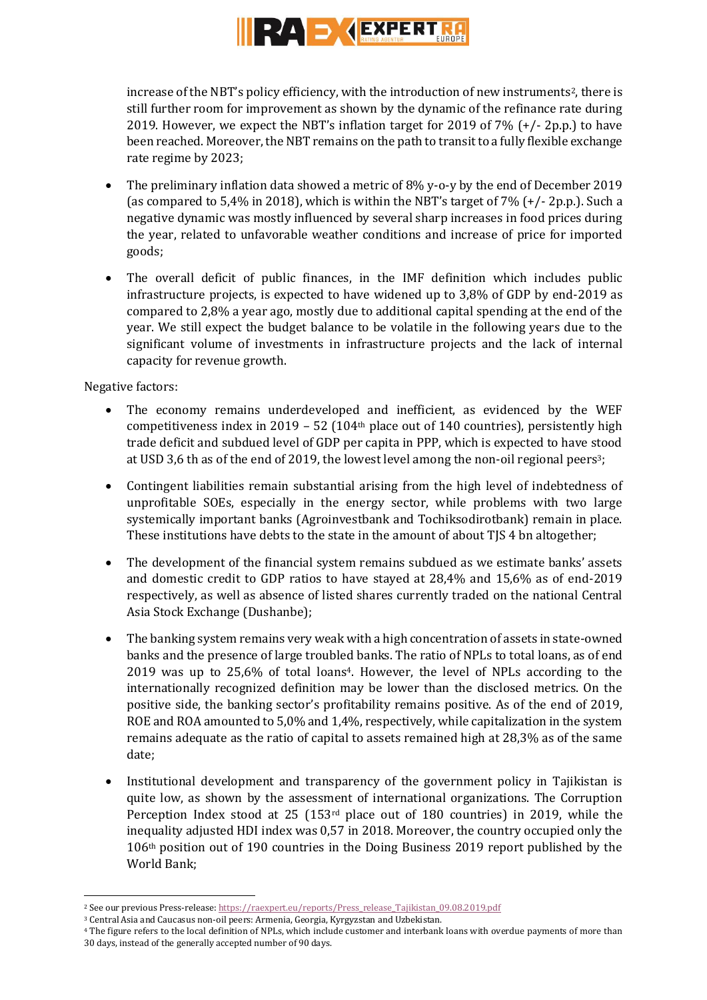

increase of the NBT's policy efficiency, with the introduction of new instruments<sup>2</sup>, there is still further room for improvement as shown by the dynamic of the refinance rate during 2019. However, we expect the NBT's inflation target for 2019 of 7% (+/- 2p.p.) to have been reached. Moreover, the NBT remains on the path to transit to a fully flexible exchange rate regime by 2023;

- The preliminary inflation data showed a metric of 8% y-o-y by the end of December 2019 (as compared to  $5,4\%$  in 2018), which is within the NBT's target of  $7\%$  ( $+/-$  2p.p.). Such a negative dynamic was mostly influenced by several sharp increases in food prices during the year, related to unfavorable weather conditions and increase of price for imported goods;
- The overall deficit of public finances, in the IMF definition which includes public infrastructure projects, is expected to have widened up to 3,8% of GDP by end-2019 as compared to 2,8% a year ago, mostly due to additional capital spending at the end of the year. We still expect the budget balance to be volatile in the following years due to the significant volume of investments in infrastructure projects and the lack of internal capacity for revenue growth.

Negative factors:

**.** 

- The economy remains underdeveloped and inefficient, as evidenced by the WEF competitiveness index in 2019 – 52 (104<sup>th</sup> place out of 140 countries), persistently high trade deficit and subdued level of GDP per capita in PPP, which is expected to have stood at USD 3,6 th as of the end of 2019, the lowest level among the non-oil regional peers3;
- Contingent liabilities remain substantial arising from the high level of indebtedness of unprofitable SOEs, especially in the energy sector, while problems with two large systemically important banks (Agroinvestbank and Tochiksodirotbank) remain in place. These institutions have debts to the state in the amount of about TJS 4 bn altogether;
- The development of the financial system remains subdued as we estimate banks' assets and domestic credit to GDP ratios to have stayed at 28,4% and 15,6% as of end-2019 respectively, as well as absence of listed shares currently traded on the national Central Asia Stock Exchange (Dushanbe);
- The banking system remains very weak with a high concentration of assets in state-owned banks and the presence of large troubled banks. The ratio of NPLs to total loans, as of end 2019 was up to 25,6% of total loans4. However, the level of NPLs according to the internationally recognized definition may be lower than the disclosed metrics. On the positive side, the banking sector's profitability remains positive. As of the end of 2019, ROE and ROA amounted to 5,0% and 1,4%, respectively, while capitalization in the system remains adequate as the ratio of capital to assets remained high at 28,3% as of the same date;
- Institutional development and transparency of the government policy in Tajikistan is quite low, as shown by the assessment of international organizations. The Corruption Perception Index stood at 25 (153rd place out of 180 countries) in 2019, while the inequality adjusted HDI index was 0,57 in 2018. Moreover, the country occupied only the 106th position out of 190 countries in the Doing Business 2019 report published by the World Bank;

<sup>&</sup>lt;sup>2</sup> See our previous Press-release[: https://raexpert.eu/reports/Press\\_release\\_Tajikistan\\_09.08.2019.pdf](https://raexpert.eu/reports/Press_release_Tajikistan_09.08.2019.pdf)

<sup>3</sup> Central Asia and Caucasus non-oil peers: Armenia, Georgia, Kyrgyzstan and Uzbekistan.

<sup>4</sup> The figure refers to the local definition of NPLs, which include customer and interbank loans with overdue payments of more than 30 days, instead of the generally accepted number of 90 days.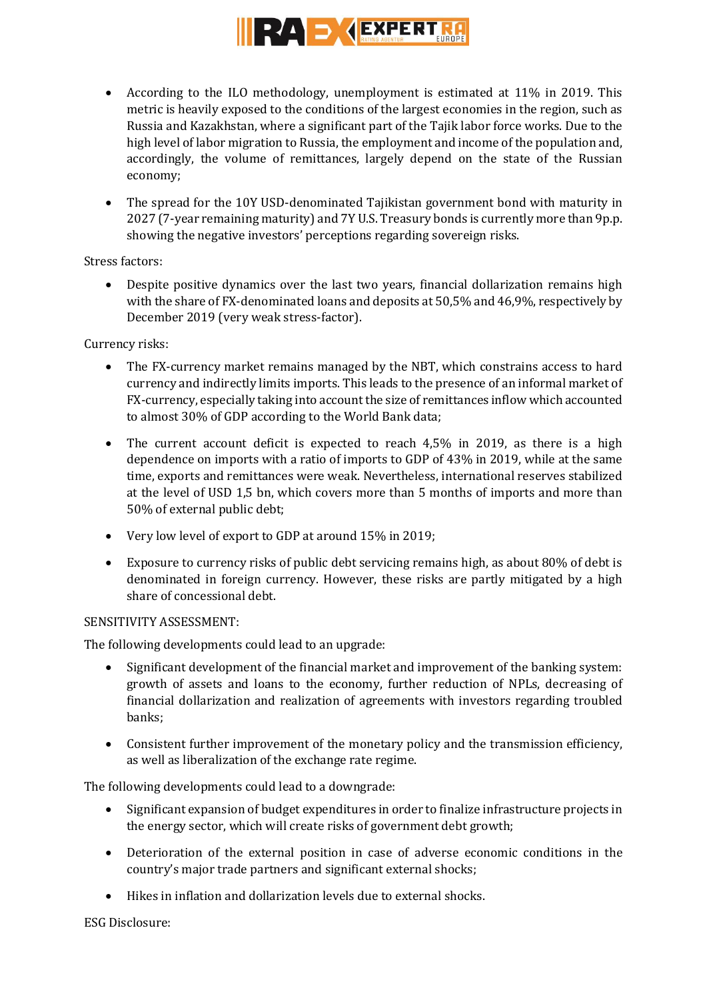

- According to the ILO methodology, unemployment is estimated at 11% in 2019. This metric is heavily exposed to the conditions of the largest economies in the region, such as Russia and Kazakhstan, where a significant part of the Tajik labor force works. Due to the high level of labor migration to Russia, the employment and income of the population and, accordingly, the volume of remittances, largely depend on the state of the Russian economy;
- The spread for the 10Y USD-denominated Tajikistan government bond with maturity in 2027 (7-year remaining maturity) and 7Y U.S. Treasury bonds is currently more than 9p.p. showing the negative investors' perceptions regarding sovereign risks.

### Stress factors:

 Despite positive dynamics over the last two years, financial dollarization remains high with the share of FX-denominated loans and deposits at 50,5% and 46,9%, respectively by December 2019 (very weak stress-factor).

## Currency risks:

- The FX-currency market remains managed by the NBT, which constrains access to hard currency and indirectly limits imports. This leads to the presence of an informal market of FX-currency, especially taking into account the size of remittances inflow which accounted to almost 30% of GDP according to the World Bank data;
- The current account deficit is expected to reach 4,5% in 2019, as there is a high dependence on imports with a ratio of imports to GDP of 43% in 2019, while at the same time, exports and remittances were weak. Nevertheless, international reserves stabilized at the level of USD 1,5 bn, which covers more than 5 months of imports and more than 50% of external public debt;
- Very low level of export to GDP at around 15% in 2019;
- Exposure to currency risks of public debt servicing remains high, as about 80% of debt is denominated in foreign currency. However, these risks are partly mitigated by a high share of concessional debt.

## SENSITIVITY ASSESSMENT:

The following developments could lead to an upgrade:

- Significant development of the financial market and improvement of the banking system: growth of assets and loans to the economy, further reduction of NPLs, decreasing of financial dollarization and realization of agreements with investors regarding troubled banks;
- Consistent further improvement of the monetary policy and the transmission efficiency, as well as liberalization of the exchange rate regime.

The following developments could lead to a downgrade:

- Significant expansion of budget expenditures in order to finalize infrastructure projects in the energy sector, which will create risks of government debt growth;
- Deterioration of the external position in case of adverse economic conditions in the country's major trade partners and significant external shocks;
- Hikes in inflation and dollarization levels due to external shocks.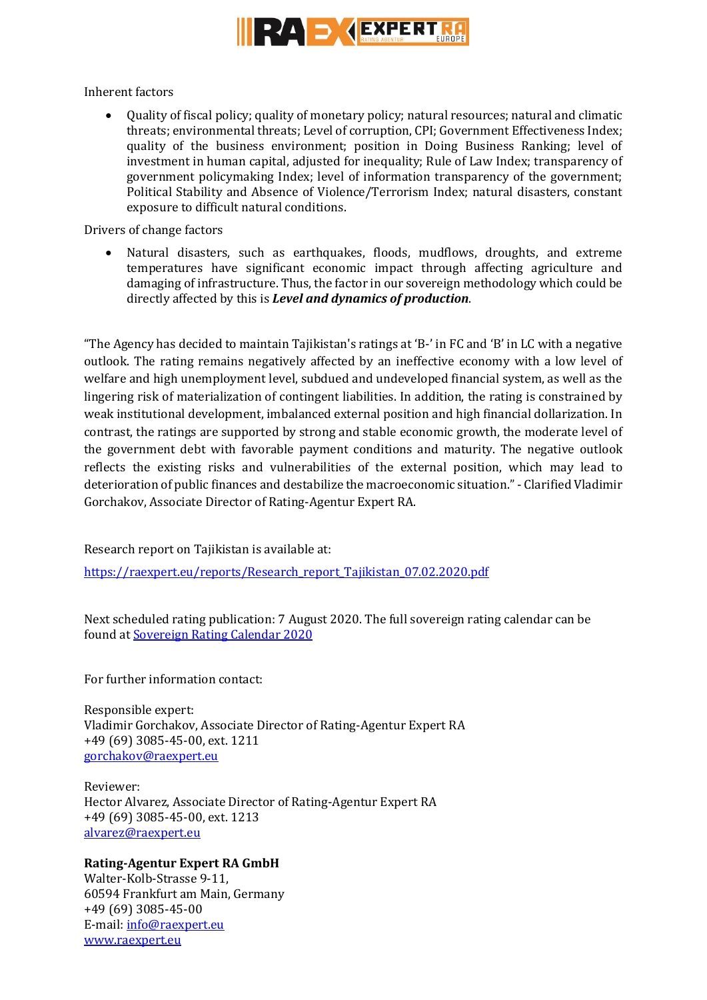

Inherent factors

 Quality of fiscal policy; quality of monetary policy; natural resources; natural and climatic threats; environmental threats; Level of corruption, CPI; Government Effectiveness Index; quality of the business environment; position in Doing Business Ranking; level of investment in human capital, adjusted for inequality; Rule of Law Index; transparency of government policymaking Index; level of information transparency of the government; Political Stability and Absence of Violence/Terrorism Index; natural disasters, constant exposure to difficult natural conditions.

Drivers of change factors

 Natural disasters, such as earthquakes, floods, mudflows, droughts, and extreme temperatures have significant economic impact through affecting agriculture and damaging of infrastructure. Thus, the factor in our sovereign methodology which could be directly affected by this is *Level and dynamics of production*.

"The Agency has decided to maintain Tajikistan's ratings at 'B-' in FC and 'B' in LC with a negative outlook. The rating remains negatively affected by an ineffective economy with a low level of welfare and high unemployment level, subdued and undeveloped financial system, as well as the lingering risk of materialization of contingent liabilities. In addition, the rating is constrained by weak institutional development, imbalanced external position and high financial dollarization. In contrast, the ratings are supported by strong and stable economic growth, the moderate level of the government debt with favorable payment conditions and maturity. The negative outlook reflects the existing risks and vulnerabilities of the external position, which may lead to deterioration of public finances and destabilize the macroeconomic situation." - Clarified Vladimir Gorchakov, Associate Director of Rating-Agentur Expert RA.

Research report on Tajikistan is available at:

[https://raexpert.eu/reports/Research\\_report\\_Tajikistan\\_07.02.2020.pdf](https://raexpert.eu/reports/Research_report_Tajikistan_07.02.2020.pdf)

Next scheduled rating publication: 7 August 2020. The full sovereign rating calendar can be found at [Sovereign Rating Calendar 202](https://raexpert.eu/sovereign/#conf-tab-5)0

For further information contact:

Responsible expert: Vladimir Gorchakov, Associate Director of Rating-Agentur Expert RA +49 (69) 3085-45-00, ext. 1211 [gorchakov@raexpert.eu](mailto:gorchakov@raexpert.eu)

Reviewer: Hector Alvarez, Associate Director of Rating-Agentur Expert RA +49 (69) 3085-45-00, ext. 1213 [alvarez@raexpert.eu](mailto:alvarez@raexpert.eu)

## **Rating-Agentur Expert RA GmbH**

Walter-Kolb-Strasse 9-11, 60594 Frankfurt am Main, Germany +49 (69) 3085-45-00 E-mail[: info@raexpert.eu](mailto:info@raexpert.eu) [www.raexpert.eu](http://raexpert.eu/)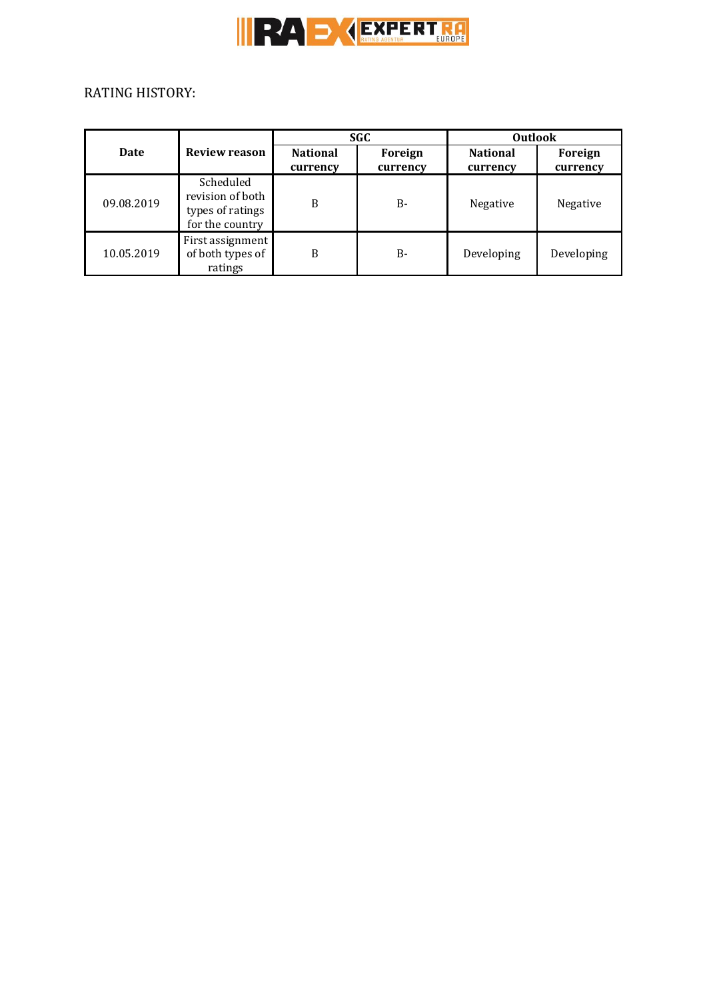

# RATING HISTORY:

|            | <b>Review reason</b>                                                 | <b>SGC</b>                  |                     | <b>Outlook</b>              |                     |
|------------|----------------------------------------------------------------------|-----------------------------|---------------------|-----------------------------|---------------------|
| Date       |                                                                      | <b>National</b><br>currency | Foreign<br>currency | <b>National</b><br>currency | Foreign<br>currency |
| 09.08.2019 | Scheduled<br>revision of both<br>types of ratings<br>for the country | B                           | <b>B-</b>           | Negative                    | Negative            |
| 10.05.2019 | First assignment<br>of both types of<br>ratings                      | B                           | B-                  | Developing                  | Developing          |